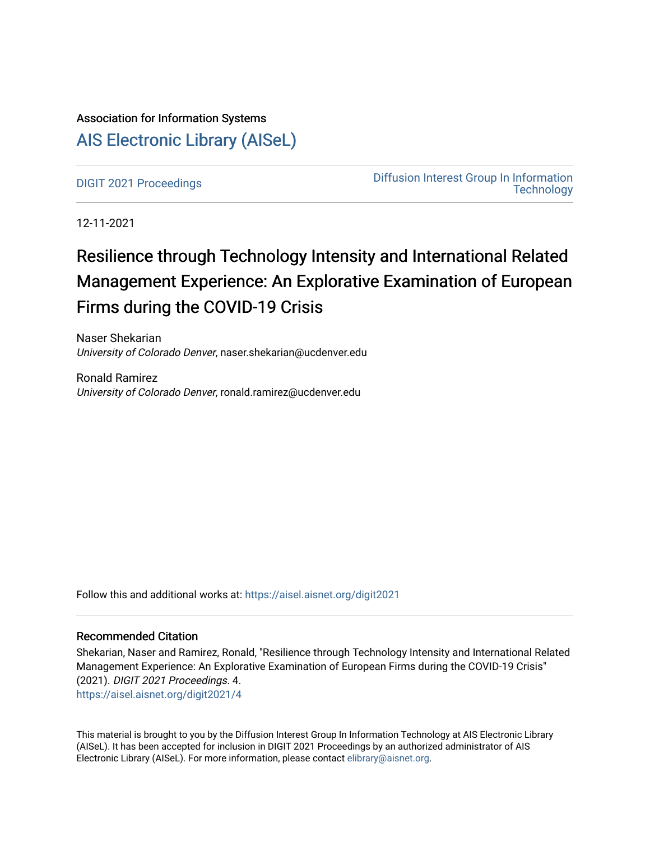# Association for Information Systems [AIS Electronic Library \(AISeL\)](https://aisel.aisnet.org/)

[DIGIT 2021 Proceedings](https://aisel.aisnet.org/digit2021) [Diffusion Interest Group In Information](https://aisel.aisnet.org/digit)  **Technology** 

12-11-2021

# Resilience through Technology Intensity and International Related Management Experience: An Explorative Examination of European Firms during the COVID-19 Crisis

Naser Shekarian University of Colorado Denver, naser.shekarian@ucdenver.edu

Ronald Ramirez University of Colorado Denver, ronald.ramirez@ucdenver.edu

Follow this and additional works at: [https://aisel.aisnet.org/digit2021](https://aisel.aisnet.org/digit2021?utm_source=aisel.aisnet.org%2Fdigit2021%2F4&utm_medium=PDF&utm_campaign=PDFCoverPages) 

#### Recommended Citation

Shekarian, Naser and Ramirez, Ronald, "Resilience through Technology Intensity and International Related Management Experience: An Explorative Examination of European Firms during the COVID-19 Crisis" (2021). DIGIT 2021 Proceedings. 4. [https://aisel.aisnet.org/digit2021/4](https://aisel.aisnet.org/digit2021/4?utm_source=aisel.aisnet.org%2Fdigit2021%2F4&utm_medium=PDF&utm_campaign=PDFCoverPages) 

This material is brought to you by the Diffusion Interest Group In Information Technology at AIS Electronic Library (AISeL). It has been accepted for inclusion in DIGIT 2021 Proceedings by an authorized administrator of AIS Electronic Library (AISeL). For more information, please contact [elibrary@aisnet.org.](mailto:elibrary@aisnet.org%3E)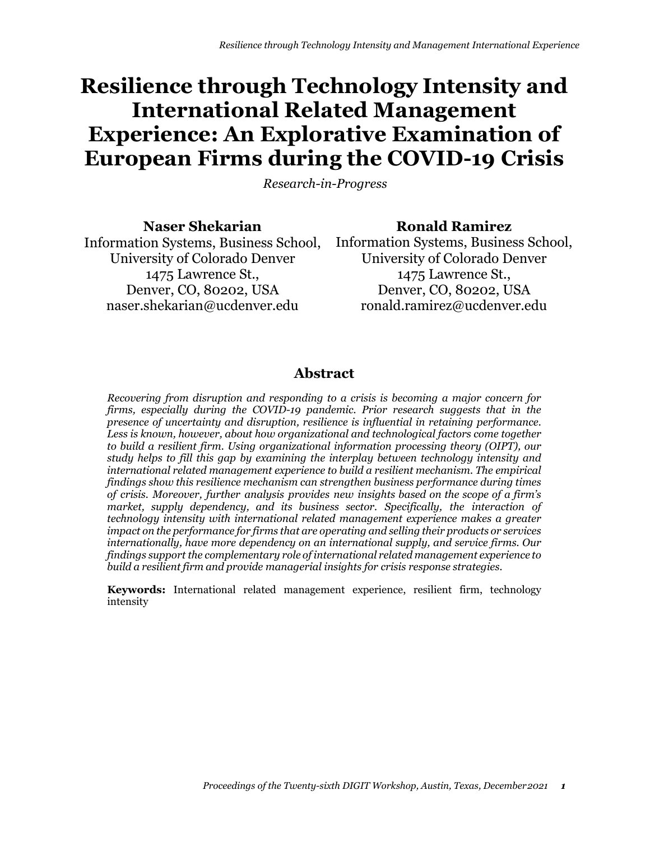# **Resilience through Technology Intensity and International Related Management Experience: An Explorative Examination of European Firms during the COVID-19 Crisis**

*Research-in-Progress*

**Naser Shekarian** University of Colorado Denver 1475 Lawrence St., Denver, CO, 80202, USA [naser.shekarian@ucdenver.edu](mailto:naser.shekarian@ucdenver.edu)

Information Systems, Business School, Information Systems, Business School, **Ronald Ramirez** University of Colorado Denver 1475 Lawrence St., Denver, CO, 80202, USA [ronald.ramirez@ucdenver.edu](mailto:ronald.ramirez@ucdenver.edu)

## **Abstract**

*Recovering from disruption and responding to a crisis is becoming a major concern for firms, especially during the COVID-19 pandemic. Prior research suggests that in the presence of uncertainty and disruption, resilience is influential in retaining performance. Less is known, however, about how organizational and technological factors come together to build a resilient firm. Using organizational information processing theory (OIPT), our study helps to fill this gap by examining the interplay between technology intensity and international related management experience to build a resilient mechanism. The empirical findings show this resilience mechanism can strengthen business performance during times of crisis. Moreover, further analysis provides new insights based on the scope of a firm's market, supply dependency, and its business sector. Specifically, the interaction of technology intensity with international related management experience makes a greater impact on the performance for firms that are operating and selling their products or services internationally, have more dependency on an international supply, and service firms. Our findings support the complementary role of international related management experience to build a resilient firm and provide managerial insights for crisis response strategies.*

**Keywords:** International related management experience, resilient firm, technology intensity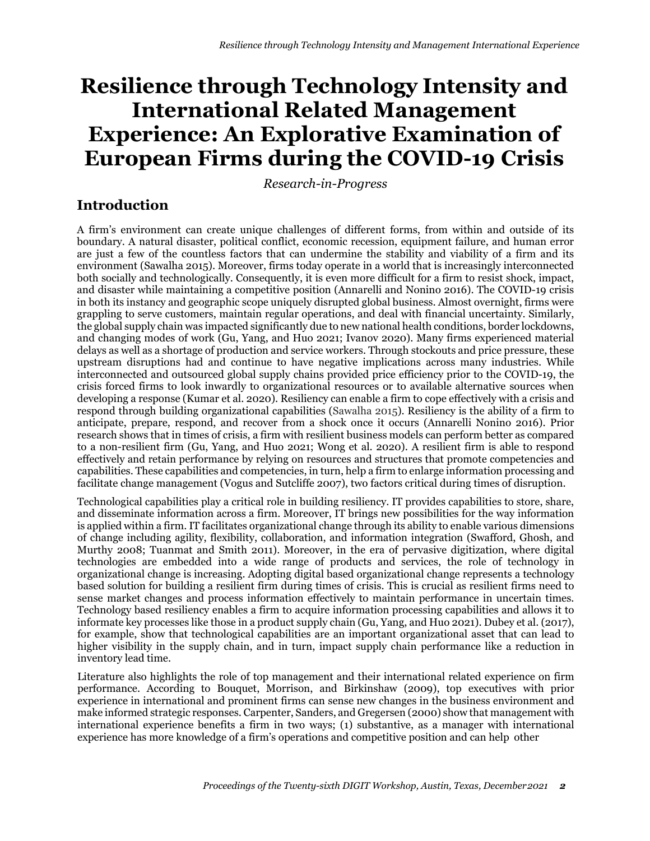# **Resilience through Technology Intensity and International Related Management Experience: An Explorative Examination of European Firms during the COVID-19 Crisis**

*Research-in-Progress*

## **Introduction**

A firm's environment can create unique challenges of different forms, from within and outside of its boundary. A natural disaster, political conflict, economic recession, equipment failure, and human error are just a few of the countless factors that can undermine the stability and viability of a firm and its environment (Sawalha 2015). Moreover, firms today operate in a world that is increasingly interconnected both socially and technologically. Consequently, it is even more difficult for a firm to resist shock, impact, and disaster while maintaining a competitive position (Annarelli and Nonino 2016). The COVID-19 crisis in both its instancy and geographic scope uniquely disrupted global business. Almost overnight, firms were grappling to serve customers, maintain regular operations, and deal with financial uncertainty. Similarly, the global supply chain was impacted significantly due to new national health conditions, border lockdowns, and changing modes of work (Gu, Yang, and Huo 2021; Ivanov 2020). Many firms experienced material delays as well as a shortage of production and service workers. Through stockouts and price pressure, these upstream disruptions had and continue to have negative implications across many industries. While interconnected and outsourced global supply chains provided price efficiency prior to the COVID-19, the crisis forced firms to look inwardly to organizational resources or to available alternative sources when developing a response (Kumar et al. 2020). Resiliency can enable a firm to cope effectively with a crisis and respond through building organizational capabilities (Sawalha 2015). Resiliency is the ability of a firm to anticipate, prepare, respond, and recover from a shock once it occurs (Annarelli Nonino 2016). Prior research shows that in times of crisis, a firm with resilient business models can perform better as compared to a non-resilient firm (Gu, Yang, and Huo 2021; Wong et al. 2020). A resilient firm is able to respond effectively and retain performance by relying on resources and structures that promote competencies and capabilities. These capabilities and competencies, in turn, help a firm to enlarge information processing and facilitate change management (Vogus and Sutcliffe 2007), two factors critical during times of disruption.

Technological capabilities play a critical role in building resiliency. IT provides capabilities to store, share, and disseminate information across a firm. Moreover, IT brings new possibilities for the way information is applied within a firm. IT facilitates organizational change through its ability to enable various dimensions of change including agility, flexibility, collaboration, and information integration (Swafford, Ghosh, and Murthy 2008; Tuanmat and Smith 2011). Moreover, in the era of pervasive digitization, where digital technologies are embedded into a wide range of products and services, the role of technology in organizational change is increasing. Adopting digital based organizational change represents a technology based solution for building a resilient firm during times of crisis. This is crucial as resilient firms need to sense market changes and process information effectively to maintain performance in uncertain times. Technology based resiliency enables a firm to acquire information processing capabilities and allows it to informate key processes like those in a product supply chain (Gu, Yang, and Huo 2021). Dubey et al. (2017), for example, show that technological capabilities are an important organizational asset that can lead to higher visibility in the supply chain, and in turn, impact supply chain performance like a reduction in inventory lead time.

Literature also highlights the role of top management and their international related experience on firm performance. According to Bouquet, Morrison, and Birkinshaw (2009), top executives with prior experience in international and prominent firms can sense new changes in the business environment and make informed strategic responses. Carpenter, Sanders, and Gregersen (2000) show that management with international experience benefits a firm in two ways; (1) substantive, as a manager with international experience has more knowledge of a firm's operations and competitive position and can help other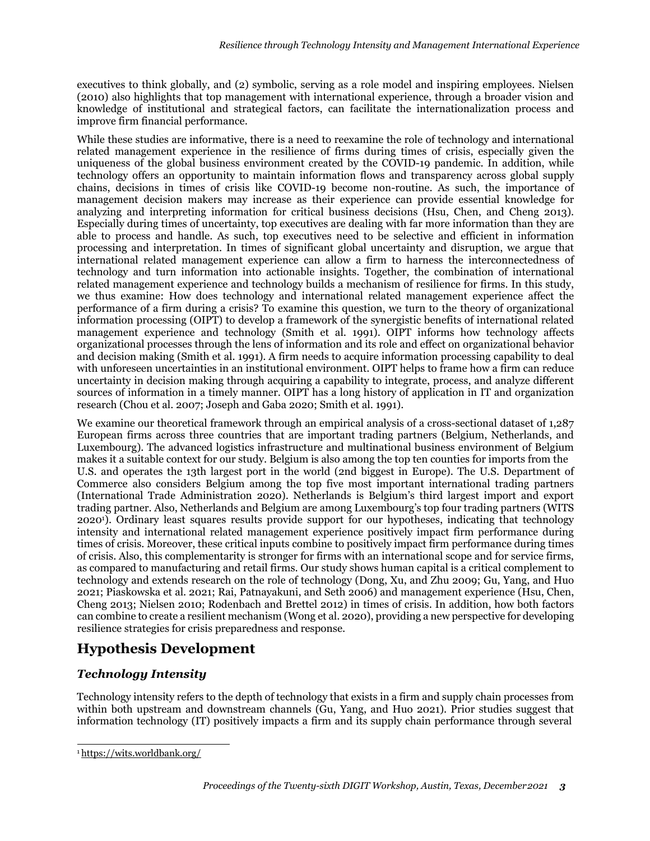executives to think globally, and (2) symbolic, serving as a role model and inspiring employees. Nielsen (2010) also highlights that top management with international experience, through a broader vision and knowledge of institutional and strategical factors, can facilitate the internationalization process and improve firm financial performance.

While these studies are informative, there is a need to reexamine the role of technology and international related management experience in the resilience of firms during times of crisis, especially given the uniqueness of the global business environment created by the COVID-19 pandemic. In addition, while technology offers an opportunity to maintain information flows and transparency across global supply chains, decisions in times of crisis like COVID-19 become non-routine. As such, the importance of management decision makers may increase as their experience can provide essential knowledge for analyzing and interpreting information for critical business decisions (Hsu, Chen, and Cheng 2013). Especially during times of uncertainty, top executives are dealing with far more information than they are able to process and handle. As such, top executives need to be selective and efficient in information processing and interpretation. In times of significant global uncertainty and disruption, we argue that international related management experience can allow a firm to harness the interconnectedness of technology and turn information into actionable insights. Together, the combination of international related management experience and technology builds a mechanism of resilience for firms. In this study, we thus examine: How does technology and international related management experience affect the performance of a firm during a crisis? To examine this question, we turn to the theory of organizational information processing (OIPT) to develop a framework of the synergistic benefits of international related management experience and technology (Smith et al. 1991). OIPT informs how technology affects organizational processes through the lens of information and its role and effect on organizational behavior and decision making (Smith et al. 1991). A firm needs to acquire information processing capability to deal with unforeseen uncertainties in an institutional environment. OIPT helps to frame how a firm can reduce uncertainty in decision making through acquiring a capability to integrate, process, and analyze different sources of information in a timely manner. OIPT has a long history of application in IT and organization research (Chou et al. 2007; Joseph and Gaba 2020; Smith et al. 1991).

We examine our theoretical framework through an empirical analysis of a cross-sectional dataset of 1.287 European firms across three countries that are important trading partners (Belgium, Netherlands, and Luxembourg). The advanced logistics infrastructure and multinational business environment of Belgium makes it a suitable context for our study. Belgium is also among the top ten counties for imports from the U.S. and operates the 13th largest port in the world (2nd biggest in Europe). The U.S. Department of Commerce also considers Belgium among the top five most important international trading partners (International Trade Administration 2020). Netherlands is Belgium's third largest import and export trading partner. Also, Netherlands and Belgium are among Luxembourg's top four trading partners (WITS 20201). Ordinary least squares results provide support for our hypotheses, indicating that technology intensity and international related management experience positively impact firm performance during times of crisis. Moreover, these critical inputs combine to positively impact firm performance during times of crisis. Also, this complementarity is stronger for firms with an international scope and for service firms, as compared to manufacturing and retail firms. Our study shows human capital is a critical complement to technology and extends research on the role of technology (Dong, Xu, and Zhu 2009; Gu, Yang, and Huo 2021; Piaskowska et al. 2021; Rai, Patnayakuni, and Seth 2006) and management experience (Hsu, Chen, Cheng 2013; Nielsen 2010; Rodenbach and Brettel 2012) in times of crisis. In addition, how both factors can combine to create a resilient mechanism (Wong et al. 2020), providing a new perspective for developing resilience strategies for crisis preparedness and response.

# **Hypothesis Development**

### *Technology Intensity*

Technology intensity refers to the depth of technology that exists in a firm and supply chain processes from within both upstream and downstream channels (Gu, Yang, and Huo 2021). Prior studies suggest that information technology (IT) positively impacts a firm and its supply chain performance through several

<sup>1</sup> https://wits.worldbank.org/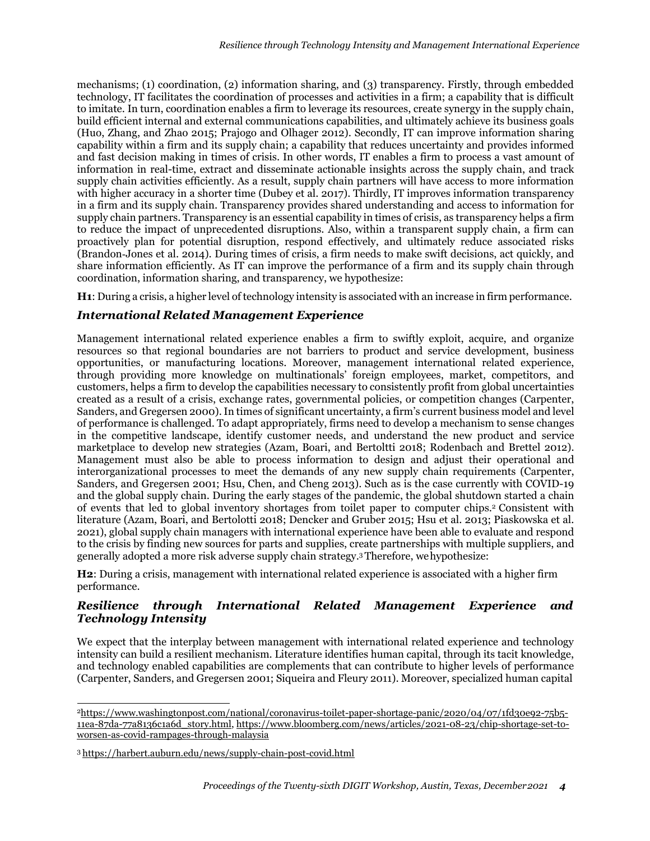mechanisms; (1) coordination, (2) information sharing, and (3) transparency. Firstly, through embedded technology, IT facilitates the coordination of processes and activities in a firm; a capability that is difficult to imitate. In turn, coordination enables a firm to leverage its resources, create synergy in the supply chain, build efficient internal and external communications capabilities, and ultimately achieve its business goals (Huo, Zhang, and Zhao 2015; Prajogo and Olhager 2012). Secondly, IT can improve information sharing capability within a firm and its supply chain; a capability that reduces uncertainty and provides informed and fast decision making in times of crisis. In other words, IT enables a firm to process a vast amount of information in real-time, extract and disseminate actionable insights across the supply chain, and track supply chain activities efficiently. As a result, supply chain partners will have access to more information with higher accuracy in a shorter time (Dubey et al. 2017). Thirdly, IT improves information transparency in a firm and its supply chain. Transparency provides shared understanding and access to information for supply chain partners. Transparency is an essential capability in times of crisis, as transparency helps a firm to reduce the impact of unprecedented disruptions. Also, within a transparent supply chain, a firm can proactively plan for potential disruption, respond effectively, and ultimately reduce associated risks (Brandon‐Jones et al. 2014). During times of crisis, a firm needs to make swift decisions, act quickly, and share information efficiently. As IT can improve the performance of a firm and its supply chain through coordination, information sharing, and transparency, we hypothesize:

**H1**: During a crisis, a higher level of technology intensity is associated with an increase in firm performance.

### *International Related Management Experience*

Management international related experience enables a firm to swiftly exploit, acquire, and organize resources so that regional boundaries are not barriers to product and service development, business opportunities, or manufacturing locations. Moreover, management international related experience, through providing more knowledge on multinationals' foreign employees, market, competitors, and customers, helps a firm to develop the capabilities necessary to consistently profit from global uncertainties created as a result of a crisis, exchange rates, governmental policies, or competition changes (Carpenter, Sanders, and Gregersen 2000). In times of significant uncertainty, a firm's current business model and level of performance is challenged. To adapt appropriately, firms need to develop a mechanism to sense changes in the competitive landscape, identify customer needs, and understand the new product and service marketplace to develop new strategies (Azam, Boari, and Bertoltti 2018; Rodenbach and Brettel 2012). Management must also be able to process information to design and adjust their operational and interorganizational processes to meet the demands of any new supply chain requirements (Carpenter, Sanders, and Gregersen 2001; Hsu, Chen, and Cheng 2013). Such as is the case currently with COVID-19 and the global supply chain. During the early stages of the pandemic, the global shutdown started a chain of events that led to global inventory shortages from toilet paper to computer chips.2 Consistent with literature (Azam, Boari, and Bertolotti 2018; Dencker and Gruber 2015; Hsu et al. 2013; Piaskowska et al. 2021), global supply chain managers with international experience have been able to evaluate and respond to the crisis by finding new sources for parts and supplies, create partnerships with multiple suppliers, and generally adopted a more risk adverse supply chain strategy.3 Therefore, wehypothesize:

**H2**: During a crisis, management with international related experience is associated with a higher firm performance.

## *Resilience through International Related Management Experience and Technology Intensity*

We expect that the interplay between management with international related experience and technology intensity can build a resilient mechanism. Literature identifies human capital, through its tacit knowledge, and technology enabled capabilities are complements that can contribute to higher levels of performance (Carpenter, Sanders, and Gregersen 2001; Siqueira and Fleury 2011). Moreover, specialized human capital

<sup>2</sup>https:/[/www.washingtonpost.com/national/coronavirus-toilet-paper-shortage-panic/2020/04/07/1fd30e92-75b5-](http://www.washingtonpost.com/national/coronavirus-toilet-paper-shortage-panic/2020/04/07/1fd30e92-75b5-) 11ea-87da-77a8136c1a6d\_story.html, https:/[/www.bloomberg.com/news/articles/2021-08-23/chip-shortage-set-to](http://www.bloomberg.com/news/articles/2021-08-23/chip-shortage-set-to-)worsen-as-covid-rampages-through-malaysia

<sup>3</sup> https://harbert.auburn.edu/news/supply-chain-post-covid.html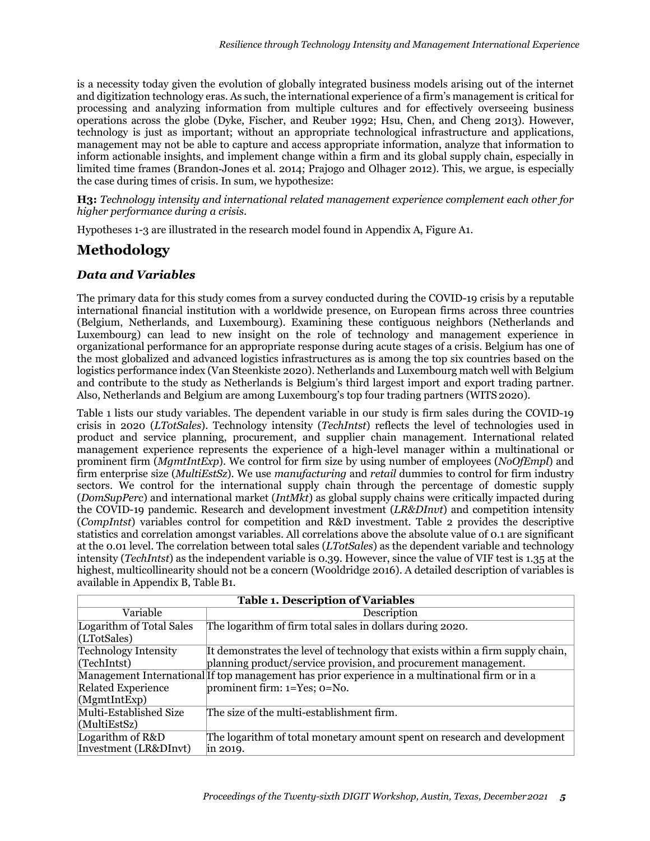is a necessity today given the evolution of globally integrated business models arising out of the internet and digitization technology eras. As such, the international experience of a firm's management is critical for processing and analyzing information from multiple cultures and for effectively overseeing business operations across the globe (Dyke, Fischer, and Reuber 1992; Hsu, Chen, and Cheng 2013). However, technology is just as important; without an appropriate technological infrastructure and applications, management may not be able to capture and access appropriate information, analyze that information to inform actionable insights, and implement change within a firm and its global supply chain, especially in limited time frames (Brandon‐Jones et al. 2014; Prajogo and Olhager 2012). This, we argue, is especially the case during times of crisis. In sum, we hypothesize:

**H3:** *Technology intensity and international related management experience complement each other for higher performance during a crisis*.

Hypotheses 1-3 are illustrated in the research model found in Appendix A, Figure A1.

## **Methodology**

### *Data and Variables*

The primary data for this study comes from a survey conducted during the COVID-19 crisis by a reputable international financial institution with a worldwide presence, on European firms across three countries (Belgium, Netherlands, and Luxembourg). Examining these contiguous neighbors (Netherlands and Luxembourg) can lead to new insight on the role of technology and management experience in organizational performance for an appropriate response during acute stages of a crisis. Belgium has one of the most globalized and advanced logistics infrastructures as is among the top six countries based on the logistics performance index (Van Steenkiste 2020). Netherlands and Luxembourg match well with Belgium and contribute to the study as Netherlands is Belgium's third largest import and export trading partner. Also, Netherlands and Belgium are among Luxembourg's top four trading partners (WITS 2020).

Table 1 lists our study variables. The dependent variable in our study is firm sales during the COVID-19 crisis in 2020 (*LTotSales*). Technology intensity (*TechIntst*) reflects the level of technologies used in product and service planning, procurement, and supplier chain management. International related management experience represents the experience of a high-level manager within a multinational or prominent firm (*MgmtIntExp*). We control for firm size by using number of employees (*NoOfEmpl*) and firm enterprise size (*MultiEstSz*). We use *manufacturing* and *retail* dummies to control for firm industry sectors. We control for the international supply chain through the percentage of domestic supply (*DomSupPerc*) and international market (*IntMkt*) as global supply chains were critically impacted during the COVID-19 pandemic. Research and development investment (*LR&DInvt*) and competition intensity (*CompIntst*) variables control for competition and R&D investment. Table 2 provides the descriptive statistics and correlation amongst variables. All correlations above the absolute value of 0.1 are significant at the 0.01 level. The correlation between total sales (*LTotSales*) as the dependent variable and technology intensity (*TechIntst*) as the independent variable is 0.39. However, since the value of VIF test is 1.35 at the highest, multicollinearity should not be a concern (Wooldridge 2016). A detailed description of variables is available in Appendix B, Table B1.

| <b>Table 1. Description of Variables</b>                                                        |                                                                                 |  |  |  |  |  |
|-------------------------------------------------------------------------------------------------|---------------------------------------------------------------------------------|--|--|--|--|--|
| Variable                                                                                        | Description                                                                     |  |  |  |  |  |
| Logarithm of Total Sales                                                                        | The logarithm of firm total sales in dollars during 2020.                       |  |  |  |  |  |
| (LTotSales)                                                                                     |                                                                                 |  |  |  |  |  |
| <b>Technology Intensity</b>                                                                     | It demonstrates the level of technology that exists within a firm supply chain, |  |  |  |  |  |
| (TechIntst)                                                                                     | planning product/service provision, and procurement management.                 |  |  |  |  |  |
| Management International If top management has prior experience in a multinational firm or in a |                                                                                 |  |  |  |  |  |
| <b>Related Experience</b><br>prominent firm: $1 = Yes$ ; $0 = No$ .                             |                                                                                 |  |  |  |  |  |
| (MgmtIntExp)                                                                                    |                                                                                 |  |  |  |  |  |
| Multi-Established Size                                                                          | The size of the multi-establishment firm.                                       |  |  |  |  |  |
| (MultiEstSz)                                                                                    |                                                                                 |  |  |  |  |  |
| Logarithm of R&D                                                                                | The logarithm of total monetary amount spent on research and development        |  |  |  |  |  |
| Investment (LR&DInvt)                                                                           | in 2019.                                                                        |  |  |  |  |  |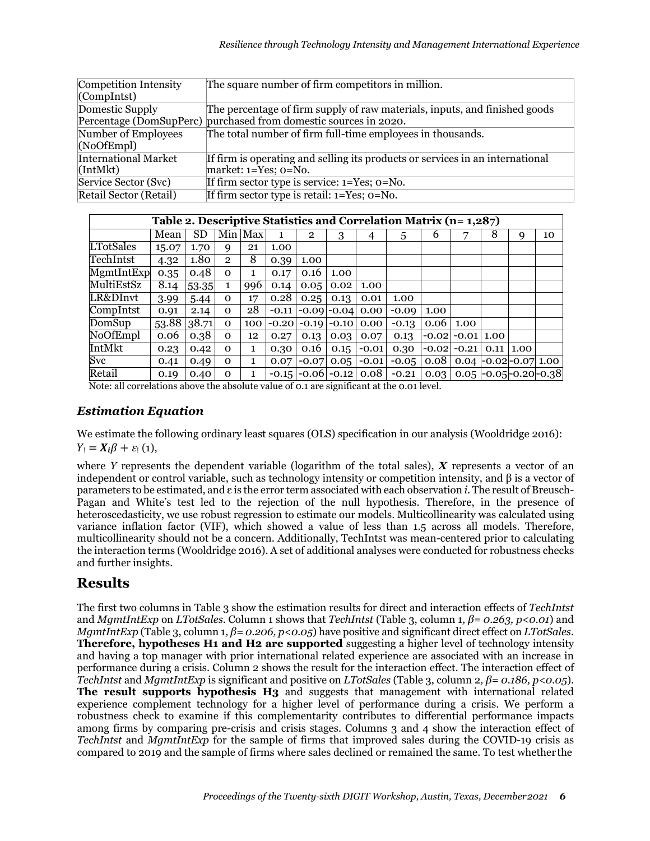| Competition Intensity       | The square number of firm competitors in million.                             |
|-----------------------------|-------------------------------------------------------------------------------|
| $\Gamma$ (CompIntst)        |                                                                               |
| Domestic Supply             | The percentage of firm supply of raw materials, inputs, and finished goods    |
|                             | Percentage (DomSupPerc) purchased from domestic sources in 2020.              |
| Number of Employees         | The total number of firm full-time employees in thousands.                    |
| (NoOFEmpl)                  |                                                                               |
| <b>International Market</b> | If firm is operating and selling its products or services in an international |
| [IntMkt]                    | market: $1 = Yes$ ; $0 = No$ .                                                |
| Service Sector (Svc)        | If firm sector type is service: $1 = Yes$ ; $0 = No$ .                        |
| Retail Sector (Retail)      | If firm sector type is retail: $1 = Yes$ ; $0 = No$ .                         |

| Table 2. Descriptive Statistics and Correlation Matrix (n= 1,287) |       |             |                |              |         |                         |                 |         |         |      |                                       |   |                 |    |
|-------------------------------------------------------------------|-------|-------------|----------------|--------------|---------|-------------------------|-----------------|---------|---------|------|---------------------------------------|---|-----------------|----|
|                                                                   | Mean  | $_{\rm SD}$ |                | Min Max      | 1       | $\overline{2}$          | 3               | 4       | 5       | 6    |                                       | 8 | 9               | 10 |
| <b>LTotSales</b>                                                  | 15.07 | 1.70        | 9              | 21           | 1.00    |                         |                 |         |         |      |                                       |   |                 |    |
| TechIntst                                                         | 4.32  | 1.80        | $\overline{2}$ | 8            | 0.39    | 1.00                    |                 |         |         |      |                                       |   |                 |    |
| MgmtIntExp                                                        | 0.35  | 0.48        | $\Omega$       | 1            | 0.17    | 0.16                    | 1.00            |         |         |      |                                       |   |                 |    |
| MultiEstSz                                                        | 8.14  | 53.35       | 1              | 996          | 0.14    | 0.05                    | 0.02            | 1.00    |         |      |                                       |   |                 |    |
| LR&DInvt                                                          | 3.99  | 5.44        | $\mathbf{O}$   | 17           | 0.28    | 0.25                    | 0.13            | 0.01    | 1.00    |      |                                       |   |                 |    |
| CompIntst                                                         | 0.91  | 2.14        | $\Omega$       | 28           | $-0.11$ | $-0.09$ -0.04           |                 | 0.00    | $-0.09$ | 1.00 |                                       |   |                 |    |
| DomSup                                                            | 53.88 | 38.71       | $\Omega$       | 100          | $-0.20$ |                         | $-0.19$ $-0.10$ | 0.00    | $-0.13$ | 0.06 | 1.00                                  |   |                 |    |
| NoOfEmpl                                                          | 0.06  | 0.38        | $\Omega$       | 12           | 0.27    | 0.13                    | 0.03            | 0.07    | 0.13    |      | $-0.02$ $-0.01$ 1.00                  |   |                 |    |
| IntMkt                                                            | 0.23  | 0.42        | $\Omega$       | 1            | 0.30    | 0.16                    | 0.15            | $-0.01$ | 0.30    |      | $-0.02$ $-0.21$                       |   | $0.11\,$   1.00 |    |
| Svc                                                               | 0.41  | 0.49        | $\Omega$       | $\mathbf{1}$ | 0.07    | $-0.07$                 | 0.05            | $-0.01$ | $-0.05$ | 0.08 | $0.04$ -0.02 -0.07 1.00               |   |                 |    |
| Retail                                                            | 0.19  | 0.40        | $\Omega$       |              |         | $-0.15$ $-0.06$ $-0.12$ |                 | 0.08    | $-0.21$ |      | $0.03$   0.05   -0.05   -0.20   -0.38 |   |                 |    |

Note: all correlations above the absolute value of 0.1 are significant at the 0.01 level.

### *Estimation Equation*

We estimate the following ordinary least squares (OLS) specification in our analysis (Wooldridge 2016):  $Y_i = X_i \beta + \varepsilon_i$  (1),

where *Y* represents the dependent variable (logarithm of the total sales), *X* represents a vector of an independent or control variable, such as technology intensity or competition intensity, and β is a vector of parameters to be estimated, and ε is the error term associated with each observation *i*. The result of Breusch-Pagan and White's test led to the rejection of the null hypothesis. Therefore, in the presence of heteroscedasticity, we use robust regression to estimate our models. Multicollinearity was calculated using variance inflation factor (VIF), which showed a value of less than 1.5 across all models. Therefore, multicollinearity should not be a concern. Additionally, TechIntst was mean-centered prior to calculating the interaction terms (Wooldridge 2016). A set of additional analyses were conducted for robustness checks and further insights.

## **Results**

The first two columns in Table 3 show the estimation results for direct and interaction effects of *TechIntst*  and *MgmtIntExp* on *LTotSales*. Column 1 shows that *TechIntst* (Table 3, column 1*, β= 0.263, p<0.01*) and *MgmtIntExp* (Table 3, column 1*, β= 0.206, p<0.05*) have positive and significant direct effect on *LTotSales*. **Therefore, hypotheses H1 and H2 are supported** suggesting a higher level of technology intensity and having a top manager with prior international related experience are associated with an increase in performance during a crisis. Column 2 shows the result for the interaction effect. The interaction effect of *TechIntst* and *MgmtIntExp* is significant and positive on *LTotSales* (Table 3, column 2*, β= 0.186, p<0.05*). **The result supports hypothesis H<sub>3</sub>** and suggests that management with international related experience complement technology for a higher level of performance during a crisis. We perform a robustness check to examine if this complementarity contributes to differential performance impacts among firms by comparing pre-crisis and crisis stages. Columns 3 and 4 show the interaction effect of *TechIntst* and *MgmtIntExp* for the sample of firms that improved sales during the COVID-19 crisis as compared to 2019 and the sample of firms where sales declined or remained the same. To test whether the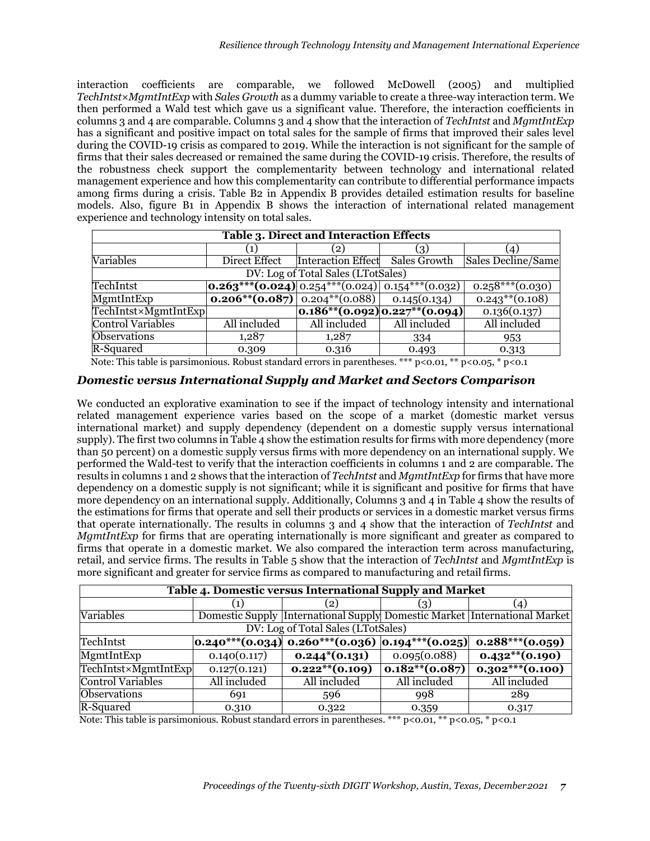interaction coefficients are comparable, we followed McDowell (2005) and multiplied *TechIntst*×*MgmtIntExp* with *Sales Growth* as a dummy variable to create a three-way interaction term. We then performed a Wald test which gave us a significant value. Therefore, the interaction coefficients in columns 3 and 4 are comparable. Columns 3 and 4 show that the interaction of *TechIntst* and *MgmtIntExp*  has a significant and positive impact on total sales for the sample of firms that improved their sales level during the COVID-19 crisis as compared to 2019. While the interaction is not significant for the sample of firms that their sales decreased or remained the same during the COVID-19 crisis. Therefore, the results of the robustness check support the complementarity between technology and international related management experience and how this complementarity can contribute to differential performance impacts among firms during a crisis. Table B2 in Appendix B provides detailed estimation results for baseline models. Also, figure B1 in Appendix B shows the interaction of international related management experience and technology intensity on total sales.

| <b>Table 3. Direct and Interaction Effects</b> |                                                                     |                                 |                                        |                     |  |  |  |  |
|------------------------------------------------|---------------------------------------------------------------------|---------------------------------|----------------------------------------|---------------------|--|--|--|--|
|                                                |                                                                     |                                 |                                        | $\left(4\right)$    |  |  |  |  |
| Variables                                      | Direct Effect                                                       | Interaction Effect Sales Growth |                                        | Sales Decline/Same  |  |  |  |  |
| DV: Log of Total Sales (LTotSales)             |                                                                     |                                 |                                        |                     |  |  |  |  |
| TechIntst                                      | $\left 0.263***(0.024)\right 0.254***(0.024)\right 0.154***(0.032)$ |                                 |                                        | $0.258***(0.030)$   |  |  |  |  |
| MgmtIntExp                                     | <b>0.206**(0.087)</b> $\vert$ 0.204**(0.088) $\vert$ 0.145(0.134)   |                                 |                                        | $0.243^{**}(0.108)$ |  |  |  |  |
| TechIntst×MgmtIntExp                           |                                                                     |                                 | $[0.186^{**}(0.092)0.227^{**}(0.094)]$ | 0.136(0.137)        |  |  |  |  |
| <b>Control Variables</b>                       | All included                                                        | All included                    | All included                           | All included        |  |  |  |  |
| <b>Observations</b>                            | 1,287                                                               | 1,287                           | 334                                    | 953                 |  |  |  |  |
| R-Squared<br>.                                 | 0.309                                                               | 0.316                           | 0.493                                  | 0.313               |  |  |  |  |

Note: This table is parsimonious. Robust standard errors in parentheses. \*\*\* p<0.01, \*\* p<0.05, \* p<0.1

#### *Domestic versus International Supply and Market and Sectors Comparison*

We conducted an explorative examination to see if the impact of technology intensity and international related management experience varies based on the scope of a market (domestic market versus international market) and supply dependency (dependent on a domestic supply versus international supply). The first two columns in Table 4 show the estimation results for firms with more dependency (more than 50 percent) on a domestic supply versus firms with more dependency on an international supply. We performed the Wald-test to verify that the interaction coefficients in columns 1 and 2 are comparable. The results in columns 1 and 2 shows that the interaction of *TechIntst* and *MgmtIntExp* for firms that have more dependency on a domestic supply is not significant; while it is significant and positive for firms that have more dependency on an international supply. Additionally, Columns 3 and 4 in Table 4 show the results of the estimations for firms that operate and sell their products or services in a domestic market versus firms that operate internationally. The results in columns 3 and 4 show that the interaction of *TechIntst* and *MgmtIntExp* for firms that are operating internationally is more significant and greater as compared to firms that operate in a domestic market. We also compared the interaction term across manufacturing, retail, and service firms. The results in Table 5 show that the interaction of *TechIntst* and *MgmtIntExp* is more significant and greater for service firms as compared to manufacturing and retailfirms.

| Table 4. Domestic versus International Supply and Market |              |                                                                                       |                   |                                                                           |  |  |  |  |
|----------------------------------------------------------|--------------|---------------------------------------------------------------------------------------|-------------------|---------------------------------------------------------------------------|--|--|--|--|
|                                                          |              | $\left\lfloor 2 \right\rfloor$                                                        | 3.                | (4)                                                                       |  |  |  |  |
| Variables                                                |              |                                                                                       |                   | Domestic Supply International Supply Domestic Market International Market |  |  |  |  |
| DV: Log of Total Sales (LTotSales)                       |              |                                                                                       |                   |                                                                           |  |  |  |  |
| TechIntst                                                |              | $\vert 0.240^{***} (0.034) \vert 0.260^{***} (0.036) \vert 0.194^{***} (0.025) \vert$ |                   | $0.288***(0.059)$                                                         |  |  |  |  |
| MgmtIntExp                                               | 0.140(0.117) | $0.244*(0.131)$                                                                       | 0.095(0.088)      | $0.432**$ (0.190)                                                         |  |  |  |  |
| TechIntst×MgmtIntExp                                     | 0.127(0.121) | $0.222**$ $(0.109)$                                                                   | $0.182**$ (0.087) | $0.302***(0.100)$                                                         |  |  |  |  |
| <b>Control Variables</b>                                 | All included | All included                                                                          | All included      | All included                                                              |  |  |  |  |
| Observations                                             | 691          | 596                                                                                   | 998               | 289                                                                       |  |  |  |  |
| R-Squared                                                | 0.310        | 0.322                                                                                 | 0.359             | 0.317                                                                     |  |  |  |  |

Note: This table is parsimonious. Robust standard errors in parentheses. \*\*\* p<0.01, \*\* p<0.05, \* p<0.1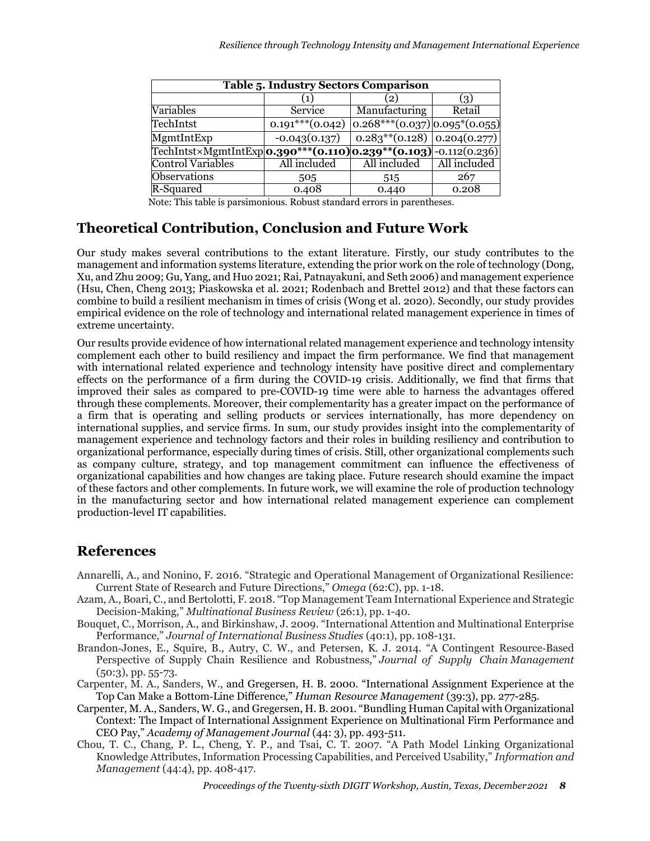| <b>Table 5. Industry Sectors Comparison</b>                              |                    |                                      |              |  |  |  |
|--------------------------------------------------------------------------|--------------------|--------------------------------------|--------------|--|--|--|
|                                                                          | 1)                 | $\mathbf{2}$                         | 31           |  |  |  |
| Variables                                                                | Service            | Manufacturing                        | Retail       |  |  |  |
| TechIntst                                                                | $0.191***$ (0.042) | $ 0.268***(0.037) 0.095*(0.055) $    |              |  |  |  |
| MgmtIntExp                                                               | $-0.043(0.137)$    | $0.283$ ** $(0.128)$ 0.204 $(0.277)$ |              |  |  |  |
| TechIntst×MgmtIntExp <b>0.390***(0.110)</b> 0.239**(0.103) -0.112(0.236) |                    |                                      |              |  |  |  |
| <b>Control Variables</b>                                                 | All included       | All included                         | All included |  |  |  |
| <b>Observations</b>                                                      | 505                | 515                                  | 267          |  |  |  |
| R-Squared                                                                | 0.408              | 0.440                                | 0.208        |  |  |  |

Note: This table is parsimonious. Robust standard errors in parentheses.

## **Theoretical Contribution, Conclusion and Future Work**

Our study makes several contributions to the extant literature. Firstly, our study contributes to the management and information systems literature, extending the prior work on the role of technology (Dong, Xu, and Zhu 2009; Gu, Yang, and Huo 2021; Rai, Patnayakuni, and Seth 2006) and management experience (Hsu, Chen, Cheng 2013; Piaskowska et al. 2021; Rodenbach and Brettel 2012) and that these factors can combine to build a resilient mechanism in times of crisis (Wong et al. 2020). Secondly, our study provides empirical evidence on the role of technology and international related management experience in times of extreme uncertainty.

Our results provide evidence of how international related management experience and technology intensity complement each other to build resiliency and impact the firm performance. We find that management with international related experience and technology intensity have positive direct and complementary effects on the performance of a firm during the COVID-19 crisis. Additionally, we find that firms that improved their sales as compared to pre-COVID-19 time were able to harness the advantages offered through these complements. Moreover, their complementarity has a greater impact on the performance of a firm that is operating and selling products or services internationally, has more dependency on international supplies, and service firms. In sum, our study provides insight into the complementarity of management experience and technology factors and their roles in building resiliency and contribution to organizational performance, especially during times of crisis. Still, other organizational complements such as company culture, strategy, and top management commitment can influence the effectiveness of organizational capabilities and how changes are taking place. Future research should examine the impact of these factors and other complements. In future work, we will examine the role of production technology in the manufacturing sector and how international related management experience can complement production-level IT capabilities.

## **References**

- Annarelli, A., and Nonino, F. 2016. "Strategic and Operational Management of Organizational Resilience: Current State of Research and Future Directions," *Omega* (62:C), pp. 1-18.
- Azam, A., Boari, C., and Bertolotti, F. 2018. "Top Management Team International Experience and Strategic Decision-Making," *Multinational Business Review* (26:1), pp. 1-40.
- Bouquet, C., Morrison, A., and Birkinshaw, J. 2009. "International Attention and Multinational Enterprise Performance," *Journal of International Business Studies* (40:1), pp. 108-131.
- Brandon‐Jones, E., Squire, B., Autry, C. W., and Petersen, K. J. 2014. "A Contingent Resource‐Based Perspective of Supply Chain Resilience and Robustness," *Journal of Supply Chain Management*   $(50:3)$ , pp.  $55-73$ .
- Carpenter, M. A., Sanders, W., and Gregersen, H. B. 2000. "International Assignment Experience at the Top Can Make a Bottom‐Line Difference," *Human Resource Management* (39:3), pp. 277-285.
- Carpenter, M. A., Sanders, W. G., and Gregersen, H. B. 2001. "Bundling Human Capital with Organizational Context: The Impact of International Assignment Experience on Multinational Firm Performance and CEO Pay," *Academy of Management Journal* (44: 3), pp. 493-511.
- Chou, T. C., Chang, P. L., Cheng, Y. P., and Tsai, C. T. 2007. "A Path Model Linking Organizational Knowledge Attributes, Information Processing Capabilities, and Perceived Usability," *Information and Management* (44:4), pp. 408-417.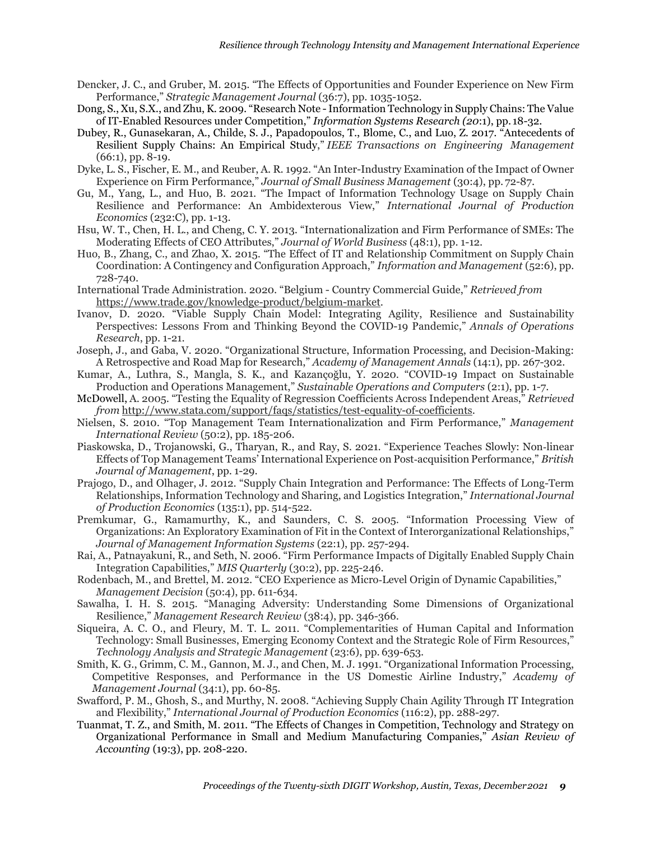- Dencker, J. C., and Gruber, M. 2015. "The Effects of Opportunities and Founder Experience on New Firm Performance," *Strategic Management Journal* (36:7), pp. 1035-1052.
- Dong, S., Xu, S.X., and Zhu, K. 2009. "Research Note -Information Technology in Supply Chains: The Value of IT-Enabled Resources under Competition," *Information Systems Research (20*:1), pp. 18-32.
- Dubey, R., Gunasekaran, A., Childe, S. J., Papadopoulos, T., Blome, C., and Luo, Z. 2017. "Antecedents of Resilient Supply Chains: An Empirical Study," *IEEE Transactions on Engineering Management*  (66:1), pp. 8-19.
- Dyke, L. S., Fischer, E. M., and Reuber, A. R. 1992. "An Inter-Industry Examination of the Impact of Owner Experience on Firm Performance," *Journal of Small Business Management* (30:4), pp. 72-87.
- Gu, M., Yang, L., and Huo, B. 2021. "The Impact of Information Technology Usage on Supply Chain Resilience and Performance: An Ambidexterous View," *International Journal of Production Economics* (232:C), pp. 1-13.
- Hsu, W. T., Chen, H. L., and Cheng, C. Y. 2013. "Internationalization and Firm Performance of SMEs: The Moderating Effects of CEO Attributes," *Journal of World Business* (48:1), pp. 1-12.
- Huo, B., Zhang, C., and Zhao, X. 2015. "The Effect of IT and Relationship Commitment on Supply Chain Coordination: A Contingency and Configuration Approach," *Information and Management* (52:6), pp. 728-740.
- International Trade Administration. 2020. "Belgium Country Commercial Guide," *Retrieved from* https:/[/www.trade.gov/knowledge-product/belgium-market.](http://www.trade.gov/knowledge-product/belgium-market)
- Ivanov, D. 2020. "Viable Supply Chain Model: Integrating Agility, Resilience and Sustainability Perspectives: Lessons From and Thinking Beyond the COVID-19 Pandemic," *Annals of Operations Research*, pp. 1-21.
- Joseph, J., and Gaba, V. 2020. "Organizational Structure, Information Processing, and Decision-Making: A Retrospective and Road Map for Research," *Academy of Management Annals* (14:1), pp. 267-302.
- Kumar, A., Luthra, S., Mangla, S. K., and Kazançoğlu, Y. 2020. "COVID-19 Impact on Sustainable Production and Operations Management," *Sustainable Operations and Computers* (2:1), pp. 1-7.
- McDowell, A. 2005. "Testing the Equality of Regression Coefficients Across Independent Areas," *Retrieved from* [http://www.stata.com/support/faqs/statistics/test-equality-of-coefficients.](http://www.stata.com/support/faqs/statistics/test-equality-of-coefficients)
- Nielsen, S. 2010. "Top Management Team Internationalization and Firm Performance," *Management International Review* (50:2), pp. 185-206.
- Piaskowska, D., Trojanowski, G., Tharyan, R., and Ray, S. 2021. "Experience Teaches Slowly: Non‐linear Effects of Top Management Teams'International Experience on Post‐acquisition Performance," *British Journal of Management*, pp. 1-29.
- Prajogo, D., and Olhager, J. 2012. "Supply Chain Integration and Performance: The Effects of Long-Term Relationships, Information Technology and Sharing, and Logistics Integration," *International Journal of Production Economics* (135:1), pp. 514-522.
- Premkumar, G., Ramamurthy, K., and Saunders, C. S. 2005. "Information Processing View of Organizations: An Exploratory Examination of Fit in the Context of Interorganizational Relationships," *Journal of Management Information Systems* (22:1), pp. 257-294.
- Rai, A., Patnayakuni, R., and Seth, N. 2006. "Firm Performance Impacts of Digitally Enabled Supply Chain Integration Capabilities," *MIS Quarterly* (30:2), pp. 225-246.
- Rodenbach, M., and Brettel, M. 2012. "CEO Experience as Micro‐Level Origin of Dynamic Capabilities," *Management Decision* (50:4), pp. 611-634.
- Sawalha, I. H. S. 2015. "Managing Adversity: Understanding Some Dimensions of Organizational Resilience," *Management Research Review* (38:4), pp. 346-366.
- Siqueira, A. C. O., and Fleury, M. T. L. 2011. "Complementarities of Human Capital and Information Technology: Small Businesses, Emerging Economy Context and the Strategic Role of Firm Resources," *Technology Analysis and Strategic Management* (23:6), pp. 639-653.
- Smith, K. G., Grimm, C. M., Gannon, M. J., and Chen, M. J. 1991. "Organizational Information Processing, Competitive Responses, and Performance in the US Domestic Airline Industry," *Academy of Management Journal* (34:1), pp. 60-85.
- Swafford, P. M., Ghosh, S., and Murthy, N. 2008. "Achieving Supply Chain Agility Through IT Integration and Flexibility," *International Journal of Production Economics* (116:2), pp. 288-297.
- Tuanmat, T. Z., and Smith, M. 2011. "The Effects of Changes in Competition, Technology and Strategy on Organizational Performance in Small and Medium Manufacturing Companies," *Asian Review of Accounting* (19:3), pp. 208-220.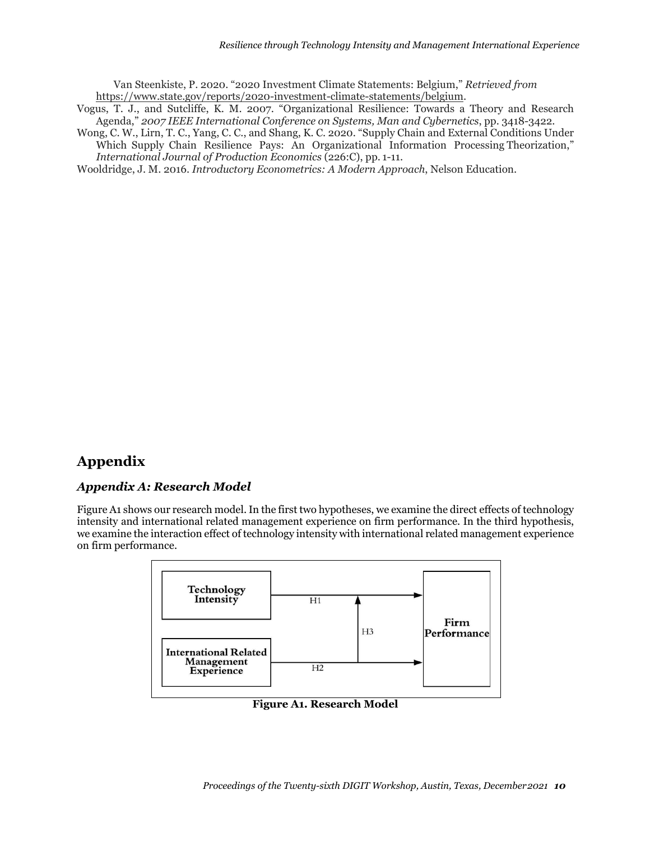Van Steenkiste, P. 2020. "2020 Investment Climate Statements: Belgium," *Retrieved from* https:/[/www.state.gov/reports/2020-investment-climate-statements/belgium.](http://www.state.gov/reports/2020-investment-climate-statements/belgium)

- Vogus, T. J., and Sutcliffe, K. M. 2007. "Organizational Resilience: Towards a Theory and Research Agenda," *2007 IEEE International Conference on Systems, Man and Cybernetics*, pp. 3418-3422.
- Wong, C. W., Lirn, T. C., Yang, C. C., and Shang, K. C. 2020. "Supply Chain and External Conditions Under Which Supply Chain Resilience Pays: An Organizational Information Processing Theorization," *International Journal of Production Economics* (226:C), pp. 1-11.

Wooldridge, J. M. 2016. *Introductory Econometrics: A Modern Approach*, Nelson Education.

## **Appendix**

#### *Appendix A: Research Model*

Figure A1 shows our research model. In the first two hypotheses, we examine the direct effects of technology intensity and international related management experience on firm performance. In the third hypothesis, we examine the interaction effect of technology intensity with international related management experience on firm performance.



**Figure A1. Research Model**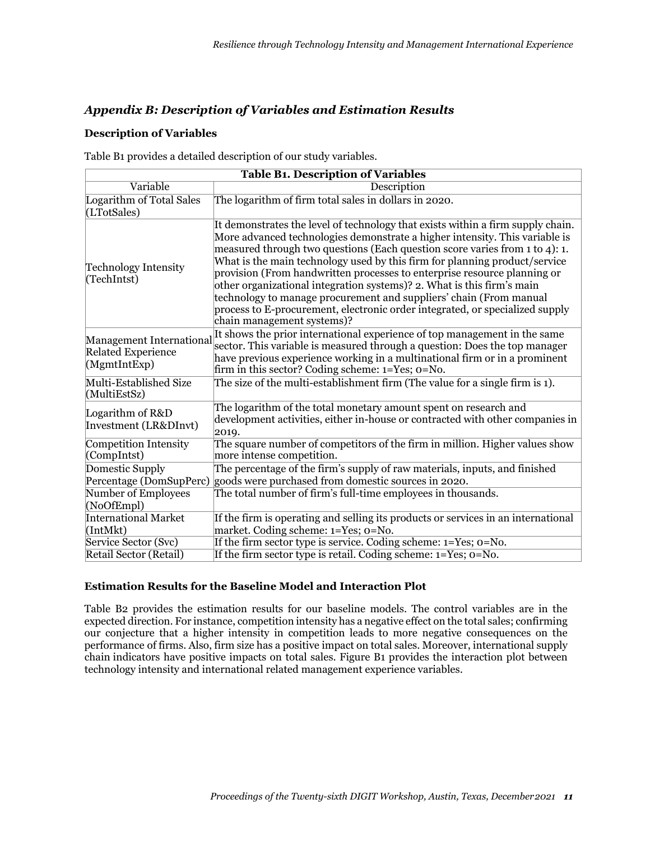## *Appendix B: Description of Variables and Estimation Results*

#### **Description of Variables**

Table B1 provides a detailed description of our study variables.

| <b>Table B1. Description of Variables</b>                            |                                                                                                                                                                                                                                                                                                                                                                                                                                                                                                                                                                                                                                                                       |  |  |  |  |  |  |
|----------------------------------------------------------------------|-----------------------------------------------------------------------------------------------------------------------------------------------------------------------------------------------------------------------------------------------------------------------------------------------------------------------------------------------------------------------------------------------------------------------------------------------------------------------------------------------------------------------------------------------------------------------------------------------------------------------------------------------------------------------|--|--|--|--|--|--|
| Variable                                                             | Description                                                                                                                                                                                                                                                                                                                                                                                                                                                                                                                                                                                                                                                           |  |  |  |  |  |  |
| Logarithm of Total Sales<br>(LTotSales)                              | The logarithm of firm total sales in dollars in 2020.                                                                                                                                                                                                                                                                                                                                                                                                                                                                                                                                                                                                                 |  |  |  |  |  |  |
| <b>Technology Intensity</b><br>(TechIntst)                           | It demonstrates the level of technology that exists within a firm supply chain.<br>More advanced technologies demonstrate a higher intensity. This variable is<br>measured through two questions (Each question score varies from 1 to 4): 1.<br>What is the main technology used by this firm for planning product/service<br>provision (From handwritten processes to enterprise resource planning or<br>other organizational integration systems)? 2. What is this firm's main<br>technology to manage procurement and suppliers' chain (From manual<br>process to E-procurement, electronic order integrated, or specialized supply<br>chain management systems)? |  |  |  |  |  |  |
| Management International<br><b>Related Experience</b><br>(MgmthbExp) | It shows the prior international experience of top management in the same<br>sector. This variable is measured through a question: Does the top manager<br>have previous experience working in a multinational firm or in a prominent<br>firm in this sector? Coding scheme: $1 = Yes$ ; $0 = No$ .                                                                                                                                                                                                                                                                                                                                                                   |  |  |  |  |  |  |
| Multi-Established Size<br>(MultiEstSz)                               | The size of the multi-establishment firm (The value for a single firm is 1).                                                                                                                                                                                                                                                                                                                                                                                                                                                                                                                                                                                          |  |  |  |  |  |  |
| Logarithm of R&D<br>Investment (LR&DInvt)                            | The logarithm of the total monetary amount spent on research and<br>development activities, either in-house or contracted with other companies in<br>2019.                                                                                                                                                                                                                                                                                                                                                                                                                                                                                                            |  |  |  |  |  |  |
| Competition Intensity<br>(CompIntst)                                 | The square number of competitors of the firm in million. Higher values show<br>more intense competition.                                                                                                                                                                                                                                                                                                                                                                                                                                                                                                                                                              |  |  |  |  |  |  |
| Domestic Supply<br>Percentage (DomSupPerc)                           | The percentage of the firm's supply of raw materials, inputs, and finished<br>goods were purchased from domestic sources in 2020.                                                                                                                                                                                                                                                                                                                                                                                                                                                                                                                                     |  |  |  |  |  |  |
| Number of Employees<br>(NoOfEmpl)                                    | The total number of firm's full-time employees in thousands.                                                                                                                                                                                                                                                                                                                                                                                                                                                                                                                                                                                                          |  |  |  |  |  |  |
| International Market<br>[IntMkt]                                     | If the firm is operating and selling its products or services in an international<br>market. Coding scheme: 1=Yes; o=No.                                                                                                                                                                                                                                                                                                                                                                                                                                                                                                                                              |  |  |  |  |  |  |
| Service Sector (Svc)                                                 | If the firm sector type is service. Coding scheme: 1=Yes; 0=No.                                                                                                                                                                                                                                                                                                                                                                                                                                                                                                                                                                                                       |  |  |  |  |  |  |
| Retail Sector (Retail)                                               | If the firm sector type is retail. Coding scheme: 1=Yes; 0=No.                                                                                                                                                                                                                                                                                                                                                                                                                                                                                                                                                                                                        |  |  |  |  |  |  |

#### **Estimation Results for the Baseline Model and Interaction Plot**

Table B2 provides the estimation results for our baseline models. The control variables are in the expected direction. For instance, competition intensity has a negative effect on the total sales; confirming our conjecture that a higher intensity in competition leads to more negative consequences on the performance of firms. Also, firm size has a positive impact on total sales. Moreover, international supply chain indicators have positive impacts on total sales. Figure B1 provides the interaction plot between technology intensity and international related management experience variables.